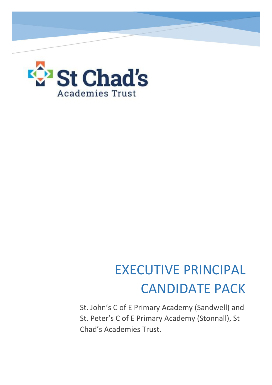

# EXECUTIVE PRINCIPAL CANDIDATE PACK

St. John's C of E Primary Academy (Sandwell) and St. Peter's C of E Primary Academy (Stonnall), St Chad's Academies Trust.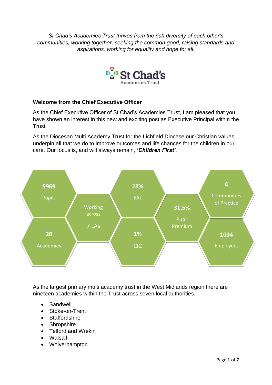*St Chad's Academies Trust thrives from the rich diversity of each other's communities, working together, seeking the common good, raising standards and aspirations, working for equality and hope for all.*



## **Welcome from the Chief Executive Officer**

As the Chief Executive Officer of St Chad's Academies Trust, I am pleased that you have shown an interest in this new and exciting post as Executive Principal within the Trust.

As the Diocesan Multi Academy Trust for the Lichfield Diocese our Christian values underpin all that we do to improve outcomes and life chances for the children in our care. Our focus is, and will always remain, *'Children First'.*



As the largest primary multi academy trust in the West Midlands region there are nineteen academies within the Trust across seven local authorities.

- Sandwell
- Stoke-on-Trent
- Staffordshire
- Shropshire
- Telford and Wrekin
- Walsall
- Wolverhampton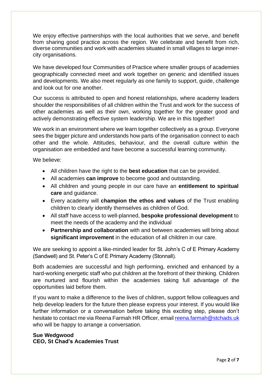We enjoy effective partnerships with the local authorities that we serve, and benefit from sharing good practice across the region. We celebrate and benefit from rich, diverse communities and work with academies situated in small villages to large innercity organisations.

We have developed four Communities of Practice where smaller groups of academies geographically connected meet and work together on generic and identified issues and developments. We also meet regularly as one family to support, guide, challenge and look out for one another.

Our success is attributed to open and honest relationships, where academy leaders shoulder the responsibilities of all children within the Trust and work for the success of other academies as well as their own, working together for the greater good and actively demonstrating effective system leadership. We are in this together!

We work in an environment where we learn together collectively as a group. Everyone sees the bigger picture and understands how parts of the organisation connect to each other and the whole. Attitudes, behaviour, and the overall culture within the organisation are embedded and have become a successful learning community.

We believe:

- All children have the right to the **best education** that can be provided.
- All academies **can improve** to become good and outstanding.
- All children and young people in our care have an **entitlement to spiritual care** and guidance.
- Every academy will **champion the ethos and values** of the Trust enabling children to clearly identify themselves as children of God.
- All staff have access to well-planned, **bespoke professional development** to meet the needs of the academy and the individual
- **Partnership and collaboration** with and between academies will bring about **significant improvement** in the education of all children in our care.

We are seeking to appoint a like-minded leader for St. John's C of E Primary Academy (Sandwell) and St. Peter's C of E Primary Academy (Stonnall).

Both academies are successful and high performing, enriched and enhanced by a hard-working energetic staff who put children at the forefront of their thinking. Children are nurtured and flourish within the academies taking full advantage of the opportunities laid before them.

If you want to make a difference to the lives of children, support fellow colleagues and help develop leaders for the future then please express your interest. If you would like further information or a conversation before taking this exciting step, please don't hesitate to contact me via Reena Farmah HR Officer, email [reena.farmah@stchads.uk](mailto:reena.farmah@stchads.uk) who will be happy to arrange a conversation.

# **Sue Wedgwood CEO, St Chad's Academies Trust**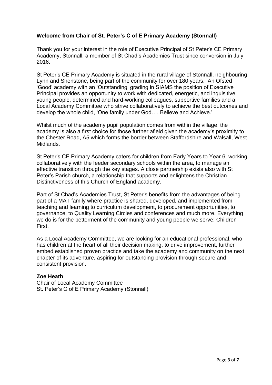## **Welcome from Chair of St. Peter's C of E Primary Academy (Stonnall)**

Thank you for your interest in the role of Executive Principal of St Peter's CE Primary Academy, Stonnall, a member of St Chad's Academies Trust since conversion in July 2016.

St Peter's CE Primary Academy is situated in the rural village of Stonnall, neighbouring Lynn and Shenstone, being part of the community for over 180 years. An Ofsted 'Good' academy with an 'Outstanding' grading in SIAMS the position of Executive Principal provides an opportunity to work with dedicated, energetic, and inquisitive young people, determined and hard-working colleagues, supportive families and a Local Academy Committee who strive collaboratively to achieve the best outcomes and develop the whole child, 'One family under God…. Believe and Achieve.'

Whilst much of the academy pupil population comes from within the village, the academy is also a first choice for those further afield given the academy's proximity to the Chester Road, A5 which forms the border between Staffordshire and Walsall, West Midlands.

St Peter's CE Primary Academy caters for children from Early Years to Year 6, working collaboratively with the feeder secondary schools within the area, to manage an effective transition through the key stages. A close partnership exists also with St Peter's Parish church, a relationship that supports and enlightens the Christian Distinctiveness of this Church of England academy.

Part of St Chad's Academies Trust, St Peter's benefits from the advantages of being part of a MAT family where practice is shared, developed, and implemented from teaching and learning to curriculum development, to procurement opportunities, to governance, to Quality Learning Circles and conferences and much more. Everything we do is for the betterment of the community and young people we serve: Children First.

As a Local Academy Committee, we are looking for an educational professional, who has children at the heart of all their decision making, to drive improvement, further embed established proven practice and take the academy and community on the next chapter of its adventure, aspiring for outstanding provision through secure and consistent provision.

### **Zoe Heath**

Chair of Local Academy Committee St. Peter's C of E Primary Academy (Stonnall)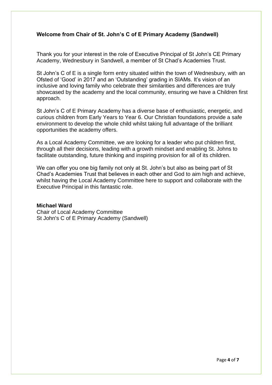## **Welcome from Chair of St. John's C of E Primary Academy (Sandwell)**

Thank you for your interest in the role of Executive Principal of St John's CE Primary Academy, Wednesbury in Sandwell, a member of St Chad's Academies Trust.

St John's C of E is a single form entry situated within the town of Wednesbury, with an Ofsted of 'Good' in 2017 and an 'Outstanding' grading in SIAMs. It's vision of an inclusive and loving family who celebrate their similarities and differences are truly showcased by the academy and the local community, ensuring we have a Children first approach.

St John's C of E Primary Academy has a diverse base of enthusiastic, energetic, and curious children from Early Years to Year 6. Our Christian foundations provide a safe environment to develop the whole child whilst taking full advantage of the brilliant opportunities the academy offers.

As a Local Academy Committee, we are looking for a leader who put children first, through all their decisions, leading with a growth mindset and enabling St. Johns to facilitate outstanding, future thinking and inspiring provision for all of its children.

We can offer you one big family not only at St. John's but also as being part of St Chad's Academies Trust that believes in each other and God to aim high and achieve, whilst having the Local Academy Committee here to support and collaborate with the Executive Principal in this fantastic role.

#### **Michael Ward**

Chair of Local Academy Committee St John's C of E Primary Academy (Sandwell)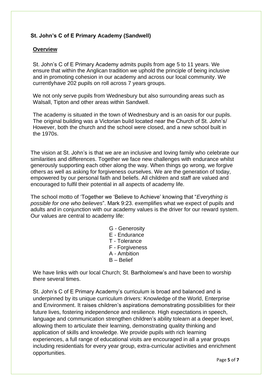# **St. John's C of E Primary Academy (Sandwell)**

## **Overview**

St. John's C of E Primary Academy admits pupils from age 5 to 11 years. We ensure that within the Anglican tradition we uphold the principle of being inclusive and in promoting cohesion in our academy and across our local community. We currentlyhave 202 pupils on roll across 7 years groups.

We not only serve pupils from Wednesbury but also surrounding areas such as Walsall, Tipton and other areas within Sandwell.

The academy is situated in the town of Wednesbury and is an oasis for our pupils. The original building was a Victorian build located near the Church of St. John's/ However, both the church and the school were closed, and a new school built in the 1970s.

The vision at St. John's is that we are an inclusive and loving family who celebrate our similarities and differences. Together we face new challenges with endurance whilst generously supporting each other along the way. When things go wrong, we forgive others as well as asking for forgiveness ourselves. We are the generation of today, empowered by our personal faith and beliefs. All children and staff are valued and encouraged to fulfil their potential in all aspects of academy life.

The school motto of 'Together we 'Believe to Achieve' knowing that "*Everything is possible for one who believes*". Mark 9:23. exemplifies what we expect of pupils and adults and in conjunction with our academy values is the driver for our reward system. Our values are central to academy life:

- G Generosity
- E Endurance
- T Tolerance
- F Forgiveness
- A Ambition
- B Belief

We have links with our local Church; St. Bartholomew's and have been to worship there several times.

St. John's C of E Primary Academy's curriculum is broad and balanced and is underpinned by its unique curriculum drivers: Knowledge of the World, Enterprise and Environment. It raises children's aspirations demonstrating possibilities for their future lives, fostering independence and resilience. High expectations in speech, language and communication strengthen children's ability tolearn at a deeper level, allowing them to articulate their learning, demonstrating quality thinking and application of skills and knowledge. We provide pupils with rich learning experiences, a full range of educational visits are encouraged in all a year groups including residentials for every year group, extra-curricular activities and enrichment opportunities.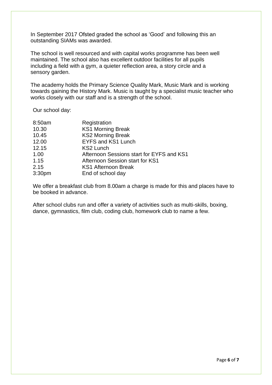In September 2017 Ofsted graded the school as 'Good' and following this an outstanding SIAMs was awarded.

The school is well resourced and with capital works programme has been well maintained. The school also has excellent outdoor facilities for all pupils including a field with a gym, a quieter reflection area, a story circle and a sensory garden.

The academy holds the Primary Science Quality Mark, Music Mark and is working towards gaining the History Mark. Music is taught by a specialist music teacher who works closely with our staff and is a strength of the school.

Our school day:

| 8:50am | Registration                              |
|--------|-------------------------------------------|
| 10.30  | <b>KS1 Morning Break</b>                  |
| 10.45  | <b>KS2 Morning Break</b>                  |
| 12.00  | <b>EYFS and KS1 Lunch</b>                 |
| 12.15  | <b>KS2 Lunch</b>                          |
| 1.00   | Afternoon Sessions start for EYFS and KS1 |
| 1.15   | Afternoon Session start for KS1           |
| 2.15   | <b>KS1 Afternoon Break</b>                |
| 3:30pm | End of school day                         |

We offer a breakfast club from 8.00am a charge is made for this and places have to be booked in advance.

After school clubs run and offer a variety of activities such as multi-skills, boxing, dance, gymnastics, film club, coding club, homework club to name a few.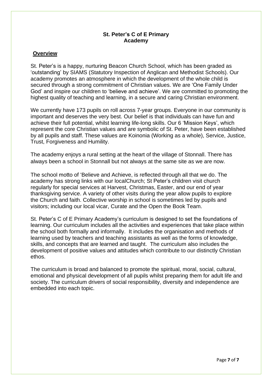## **St. Peter's C of E Primary Academy**

## **Overview**

St. Peter's is a happy, nurturing Beacon Church School, which has been graded as 'outstanding' by SIAMS (Statutory Inspection of Anglican and Methodist Schools). Our academy promotes an atmosphere in which the development of the whole child is secured through a strong commitment of Christian values. We are 'One Family Under God' and inspire our children to 'believe and achieve'. We are committed to promoting the highest quality of teaching and learning, in a secure and caring Christian environment.

We currently have 173 pupils on roll across 7-year groups. Everyone in our community is important and deserves the very best. Our belief is that individuals can have fun and achieve their full potential, whilst learning life-long skills. Our 6 'Mission Keys', which represent the core Christian values and are symbolic of St. Peter, have been established by all pupils and staff. These values are Koinonia (Working as a whole), Service, Justice, Trust, Forgiveness and Humility.

The academy enjoys a rural setting at the heart of the village of Stonnall. There has always been a school in Stonnall but not always at the same site as we are now.

The school motto of 'Believe and Achieve, is reflected through all that we do. The academy has strong links with our localChurch; St Peter's children visit church regularly for special services at Harvest, Christmas, Easter, and our end of year thanksgiving service. A variety of other visits during the year allow pupils to explore the Church and faith. Collective worship in school is sometimes led by pupils and visitors; including our local vicar, Curate and the Open the Book Team.

St. Peter's C of E Primary Academy's curriculum is designed to set the foundations of learning. Our curriculum includes all the activities and experiences that take place within the school both formally and informally. It includes the organisation and methods of learning used by teachers and teaching assistants as well as the forms of knowledge, skills, and concepts that are learned and taught. The curriculum also includes the development of positive values and attitudes which contribute to our distinctly Christian ethos.

The curriculum is broad and balanced to promote the spiritual, moral, social, cultural, emotional and physical development of all pupils whilst preparing them for adult life and society. The curriculum drivers of social responsibility, diversity and independence are embedded into each topic.